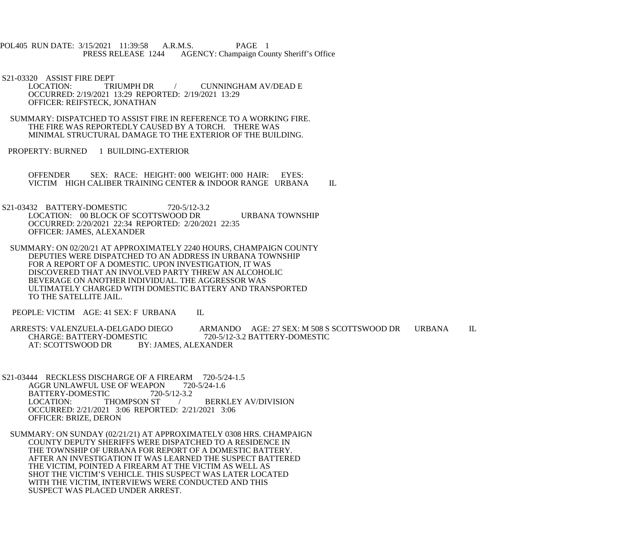POL405 RUN DATE: 3/15/2021 11:39:58 A.R.M.S. PAGE 1<br>PRESS RELEASE 1244 AGENCY: Champaign Cou AGENCY: Champaign County Sheriff's Office

S21-03320 ASSIST FIRE DEPT<br>LOCATION: TRIUMPH DR CUNNINGHAM AV/DEAD E OCCURRED: 2/19/2021 13:29 REPORTED: 2/19/2021 13:29 OFFICER: REIFSTECK, JONATHAN

 SUMMARY: DISPATCHED TO ASSIST FIRE IN REFERENCE TO A WORKING FIRE. THE FIRE WAS REPORTEDLY CAUSED BY A TORCH. THERE WAS MINIMAL STRUCTURAL DAMAGE TO THE EXTERIOR OF THE BUILDING.

PROPERTY: BURNED 1 BUILDING-EXTERIOR

 OFFENDER SEX: RACE: HEIGHT: 000 WEIGHT: 000 HAIR: EYES: VICTIM HIGH CALIBER TRAINING CENTER & INDOOR RANGE URBANA IL

S21-03432 BATTERY-DOMESTIC 720-5/12-3.2 LOCATION: 00 BLOCK OF SCOTTSWOOD DR URBANA TOWNSHIP OCCURRED: 2/20/2021 22:34 REPORTED: 2/20/2021 22:35 OFFICER: JAMES, ALEXANDER

 SUMMARY: ON 02/20/21 AT APPROXIMATELY 2240 HOURS, CHAMPAIGN COUNTY DEPUTIES WERE DISPATCHED TO AN ADDRESS IN URBANA TOWNSHIP FOR A REPORT OF A DOMESTIC. UPON INVESTIGATION, IT WAS DISCOVERED THAT AN INVOLVED PARTY THREW AN ALCOHOLIC BEVERAGE ON ANOTHER INDIVIDUAL. THE AGGRESSOR WAS ULTIMATELY CHARGED WITH DOMESTIC BATTERY AND TRANSPORTED TO THE SATELLITE JAIL.

PEOPLE: VICTIM AGE: 41 SEX: F URBANA IL

ARRESTS: VALENZUELA-DELGADO DIEGO ARMANDO AGE: 27 SEX: M 508 S SCOTTSWOOD DR URBANA IL CHARGE: BATTERY-DOMESTIC 720-5/12-3.2 BATTERY-DOMESTIC CHARGE: BATTERY-DOMESTIC 720-5/12-3.2 BATTERY-DOMESTIC<br>AT: SCOTTSWOOD DR BY: JAMES, ALEXANDER BY: JAMES, ALEXANDER

S21-03444 RECKLESS DISCHARGE OF A FIREARM 720-5/24-1.5<br>AGGR UNLAWFUL USE OF WEAPON 720-5/24-1.6 AGGR UNLAWFUL USE OF WEAPON 720-5/12-3.2 BATTERY-DOMESTIC 720-<br>LOCATION: THOMPSON ST / BERKLEY AV/DIVISION OCCURRED: 2/21/2021 3:06 REPORTED: 2/21/2021 3:06 OFFICER: BRIZE, DERON

 SUMMARY: ON SUNDAY (02/21/21) AT APPROXIMATELY 0308 HRS. CHAMPAIGN COUNTY DEPUTY SHERIFFS WERE DISPATCHED TO A RESIDENCE IN THE TOWNSHIP OF URBANA FOR REPORT OF A DOMESTIC BATTERY. AFTER AN INVESTIGATION IT WAS LEARNED THE SUSPECT BATTERED THE VICTIM, POINTED A FIREARM AT THE VICTIM AS WELL AS SHOT THE VICTIM'S VEHICLE. THIS SUSPECT WAS LATER LOCATED WITH THE VICTIM, INTERVIEWS WERE CONDUCTED AND THIS SUSPECT WAS PLACED UNDER ARREST.